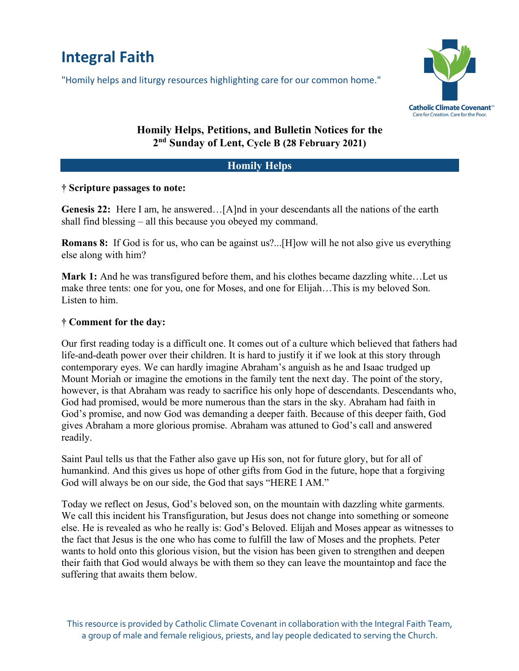# **Integral Faith**

"Homily helps and liturgy resources highlighting care for our common home."



## **Homily Helps, Petitions, and Bulletin Notices for the 2nd Sunday of Lent, Cycle B (28 February 2021)**

#### **Homily Helps**

#### **† Scripture passages to note:**

**Genesis 22:** Here I am, he answered…[A]nd in your descendants all the nations of the earth shall find blessing – all this because you obeyed my command.

**Romans 8:** If God is for us, who can be against us?...[H]ow will he not also give us everything else along with him?

**Mark 1:** And he was transfigured before them, and his clothes became dazzling white…Let us make three tents: one for you, one for Moses, and one for Elijah…This is my beloved Son. Listen to him.

#### **† Comment for the day:**

Our first reading today is a difficult one. It comes out of a culture which believed that fathers had life-and-death power over their children. It is hard to justify it if we look at this story through contemporary eyes. We can hardly imagine Abraham's anguish as he and Isaac trudged up Mount Moriah or imagine the emotions in the family tent the next day. The point of the story, however, is that Abraham was ready to sacrifice his only hope of descendants. Descendants who, God had promised, would be more numerous than the stars in the sky. Abraham had faith in God's promise, and now God was demanding a deeper faith. Because of this deeper faith, God gives Abraham a more glorious promise. Abraham was attuned to God's call and answered readily.

Saint Paul tells us that the Father also gave up His son, not for future glory, but for all of humankind. And this gives us hope of other gifts from God in the future, hope that a forgiving God will always be on our side, the God that says "HERE I AM."

Today we reflect on Jesus, God's beloved son, on the mountain with dazzling white garments. We call this incident his Transfiguration, but Jesus does not change into something or someone else. He is revealed as who he really is: God's Beloved. Elijah and Moses appear as witnesses to the fact that Jesus is the one who has come to fulfill the law of Moses and the prophets. Peter wants to hold onto this glorious vision, but the vision has been given to strengthen and deepen their faith that God would always be with them so they can leave the mountaintop and face the suffering that awaits them below.